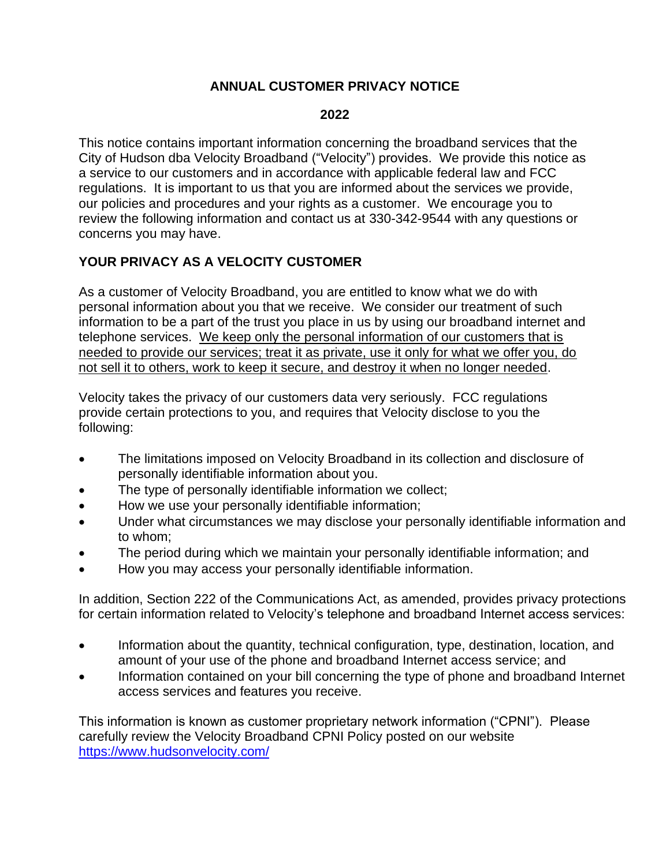# **ANNUAL CUSTOMER PRIVACY NOTICE**

#### **2022**

This notice contains important information concerning the broadband services that the City of Hudson dba Velocity Broadband ("Velocity") provides. We provide this notice as a service to our customers and in accordance with applicable federal law and FCC regulations. It is important to us that you are informed about the services we provide, our policies and procedures and your rights as a customer. We encourage you to review the following information and contact us at 330-342-9544 with any questions or concerns you may have.

# **YOUR PRIVACY AS A VELOCITY CUSTOMER**

As a customer of Velocity Broadband, you are entitled to know what we do with personal information about you that we receive. We consider our treatment of such information to be a part of the trust you place in us by using our broadband internet and telephone services. We keep only the personal information of our customers that is needed to provide our services; treat it as private, use it only for what we offer you, do not sell it to others, work to keep it secure, and destroy it when no longer needed.

Velocity takes the privacy of our customers data very seriously. FCC regulations provide certain protections to you, and requires that Velocity disclose to you the following:

- The limitations imposed on Velocity Broadband in its collection and disclosure of personally identifiable information about you.
- The type of personally identifiable information we collect;
- How we use your personally identifiable information;
- Under what circumstances we may disclose your personally identifiable information and to whom;
- The period during which we maintain your personally identifiable information; and
- How you may access your personally identifiable information.

In addition, Section 222 of the Communications Act, as amended, provides privacy protections for certain information related to Velocity's telephone and broadband Internet access services:

- Information about the quantity, technical configuration, type, destination, location, and amount of your use of the phone and broadband Internet access service; and
- Information contained on your bill concerning the type of phone and broadband Internet access services and features you receive.

This information is known as customer proprietary network information ("CPNI"). Please carefully review the Velocity Broadband CPNI Policy posted on our website <https://www.hudsonvelocity.com/>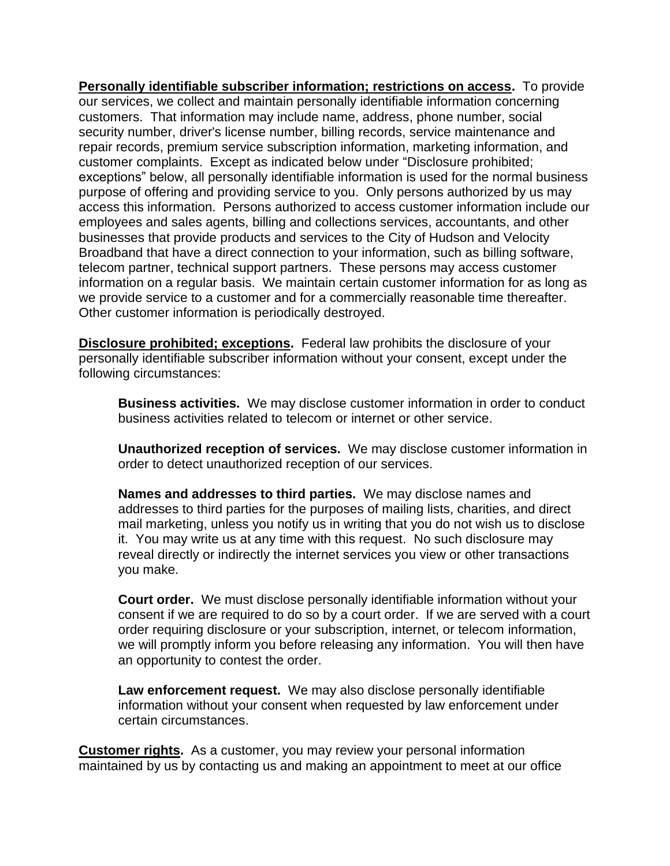**Personally identifiable subscriber information; restrictions on access.** To provide our services, we collect and maintain personally identifiable information concerning customers. That information may include name, address, phone number, social security number, driver's license number, billing records, service maintenance and repair records, premium service subscription information, marketing information, and customer complaints. Except as indicated below under "Disclosure prohibited; exceptions" below, all personally identifiable information is used for the normal business purpose of offering and providing service to you. Only persons authorized by us may access this information. Persons authorized to access customer information include our employees and sales agents, billing and collections services, accountants, and other businesses that provide products and services to the City of Hudson and Velocity Broadband that have a direct connection to your information, such as billing software, telecom partner, technical support partners. These persons may access customer information on a regular basis. We maintain certain customer information for as long as we provide service to a customer and for a commercially reasonable time thereafter. Other customer information is periodically destroyed.

**Disclosure prohibited; exceptions.** Federal law prohibits the disclosure of your personally identifiable subscriber information without your consent, except under the following circumstances:

**Business activities.** We may disclose customer information in order to conduct business activities related to telecom or internet or other service.

**Unauthorized reception of services.** We may disclose customer information in order to detect unauthorized reception of our services.

**Names and addresses to third parties.** We may disclose names and addresses to third parties for the purposes of mailing lists, charities, and direct mail marketing, unless you notify us in writing that you do not wish us to disclose it. You may write us at any time with this request. No such disclosure may reveal directly or indirectly the internet services you view or other transactions you make.

**Court order.** We must disclose personally identifiable information without your consent if we are required to do so by a court order. If we are served with a court order requiring disclosure or your subscription, internet, or telecom information, we will promptly inform you before releasing any information. You will then have an opportunity to contest the order.

**Law enforcement request.** We may also disclose personally identifiable information without your consent when requested by law enforcement under certain circumstances.

**Customer rights.** As a customer, you may review your personal information maintained by us by contacting us and making an appointment to meet at our office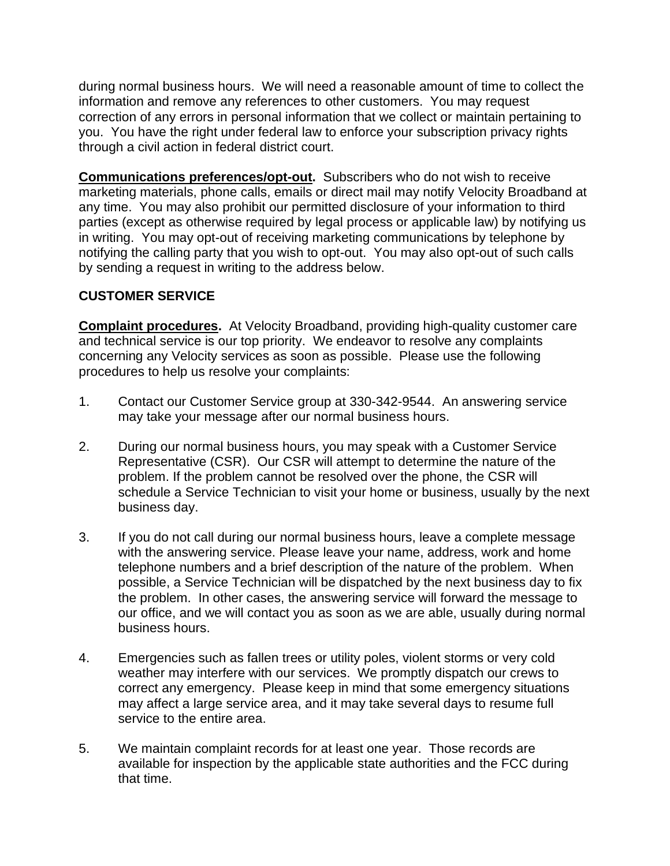during normal business hours. We will need a reasonable amount of time to collect the information and remove any references to other customers. You may request correction of any errors in personal information that we collect or maintain pertaining to you. You have the right under federal law to enforce your subscription privacy rights through a civil action in federal district court.

**Communications preferences/opt-out.** Subscribers who do not wish to receive marketing materials, phone calls, emails or direct mail may notify Velocity Broadband at any time. You may also prohibit our permitted disclosure of your information to third parties (except as otherwise required by legal process or applicable law) by notifying us in writing. You may opt-out of receiving marketing communications by telephone by notifying the calling party that you wish to opt-out. You may also opt-out of such calls by sending a request in writing to the address below.

## **CUSTOMER SERVICE**

**Complaint procedures.** At Velocity Broadband, providing high-quality customer care and technical service is our top priority. We endeavor to resolve any complaints concerning any Velocity services as soon as possible. Please use the following procedures to help us resolve your complaints:

- 1. Contact our Customer Service group at 330-342-9544. An answering service may take your message after our normal business hours.
- 2. During our normal business hours, you may speak with a Customer Service Representative (CSR). Our CSR will attempt to determine the nature of the problem. If the problem cannot be resolved over the phone, the CSR will schedule a Service Technician to visit your home or business, usually by the next business day.
- 3. If you do not call during our normal business hours, leave a complete message with the answering service. Please leave your name, address, work and home telephone numbers and a brief description of the nature of the problem. When possible, a Service Technician will be dispatched by the next business day to fix the problem. In other cases, the answering service will forward the message to our office, and we will contact you as soon as we are able, usually during normal business hours.
- 4. Emergencies such as fallen trees or utility poles, violent storms or very cold weather may interfere with our services. We promptly dispatch our crews to correct any emergency. Please keep in mind that some emergency situations may affect a large service area, and it may take several days to resume full service to the entire area.
- 5. We maintain complaint records for at least one year. Those records are available for inspection by the applicable state authorities and the FCC during that time.